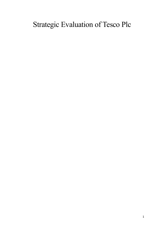# Strategic Evaluation of Tesco Plc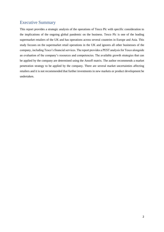## <span id="page-1-0"></span>Executive Summary

This report provides a strategic analysis of the operations of Tesco Plc with specific consideration to the implications of the ongoing global pandemic on the business. Tesco Plc is one of the leading supermarket retailers of the UK and has operations across several countries in Europe and Asia. This study focuses on the supermarket retail operations in the UK and ignores all other businesses of the company, including Tesco's financial services. The report provides a PEST analysis for Tesco alongside an evaluation of the company's resources and competencies. The available growth strategies that can be applied by the company are determined using the Ansoff matrix. The author recommends a market penetration strategy to be applied by the company. There are several market uncertainties affecting retailers and it is not recommended that further investments in new markets or product development be undertaken.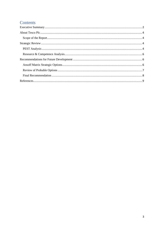## Contents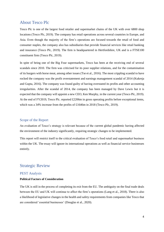## <span id="page-3-0"></span>About Tesco Plc

Tesco Plc is one of the largest food retailer and supermarket chains of the UK with over 6800 shop locations (Tesco Plc, 2019). The company has retail operations across several countries in Europe, and Asia. Even though the majority of the firm's operations are focused towards the retail of food and consumer staples, the company also has subsidiaries that provide financial services like retail banking and insurance (Tesco Plc, 2019). The firm is headquartered in Hertfordshire, UK and is a FTSE100 constituent firm (Tesco Plc, 2019).

In spite of being one of the Big Four supermarkets, Tesco has been at the receiving end of several scandals since 2010. The firm was criticised for its poor supplier relations, and for the contamination of its burgers with horse meat, among other issues (Tse et al., 2016). The most crippling scandal to have rocked the company was the profit overstatement and earnings management scandal of 2014 (Kukreja and Gupta, 2016). The company was found guilty of having overstated its profits and other accounting irregularities. After the scandal of 2014, the company has been managed by Dave Lewis but it is expected that the company will appoint a new CEO, Ken Murphy, in the current year (Tesco Plc, 2019). At the end of FY2019, Tesco Plc. reported £2206m in gross operating profits before exceptional items, which was a 34% increase from the profits of £1646m in 2018 (Tesco Plc, 2019).

#### <span id="page-3-1"></span>Scope of the Report

An evaluation of Tesco's strategy is relevant because of the current global pandemic having affected the environment of the industry significantly, requiring strategic changes to be implemented.

This report will restrict itself to the critical evaluation of Tesco's food retail and supermarket business within the UK. The essay will ignore its international operations as well as financial service businesses entirely.

## <span id="page-3-2"></span>Strategic Review

#### <span id="page-3-3"></span>PEST Analysis

#### **Political Factors of Consideration**

The UK is still in the process of completing its exit from the EU. The ambiguity on the final trade deals between the EU and UK will continue to affect the firm's operations (Lang et al., 2018). There is also a likelihood of legislative changes in the health and safety requirements from companies like Tesco that are considered 'essential businesses' (Douglas et al., 2020).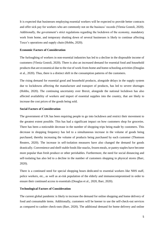It is expected that businesses employing essential workers will be expected to provide better contracts and offer sick pay for workers who are commonly not on the business' records (Ylenia Gostoli, 2020). Additionally, the government's strict regulations regarding the lockdown of the economy, mandatory work from home, and temporary shutting down of several businesses is likely to continue affecting Tesco's operations and supply chain (Hobbs, 2020).

#### **Economic Factors of Consideration**

The furloughing of workers in non-essential industries has led to a decline in the disposable income of customers (Ylenia Gostoli, 2020). There is also an increased demand for essential food and household products that are economical due to the rise of work-from-home and home-schooling activities(Douglas et al., 2020). Thus, there is a distinct shift in the consumption patterns of the customers.

The rising demand for essential good and household products, alongside delays in the supply system due to lockdowns affecting the manufacture and transport of products, has led to severe shortages (Hobbs, 2020). The continuing uncertainty over Brexit, alongside the national lockdown has also affected availability of workers and import of essential supplies into the country, that are likely to increase the cost prices of the goods being sold.

#### **Social Factors of Consideration**

The government of UK has been requiring people to go into lockdown and restrict their movement to the greatest extent possible. This has had a significant impact on how customers shop for groceries. There has been a noticeable decrease in the number of shopping trips being made by customers. This decrease in shopping frequency has led to a simultaneous increase in the volume of goods being purchased, thereby increasing the volume of products being purchased by each customer (Thomson Reuters, 2020). The increase in self-isolation measures have also changed the demand for goods drastically. Convenience and shelf-stable foods like snacks, frozen meals, or pantry staples have become more popular than fresh produce or other perishables. Furthermore, the need for social distancing and self-isolating has also led to a decline in the number of customers shopping in physical stores (Barr, 2020).

There is a continued need for special shopping hours dedicated to essential workers like NHS staff, police workers, etc., as well as at-risk population of the elderly and immunocompromised in order to ensure their continued access to essentials (Douglas et al., 2020, Barr, 2020).

#### **Technological Factors of Consideration**

The current global pandemic is likely to increase the demand for online shopping and home delivery of food and consumable items. Additionally, customers will be keener to use the self-check-out services as compared to cashier check-outs (Barr, 2020). The additional demand for home delivery and online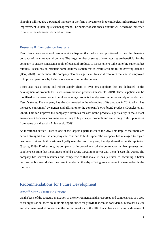shopping will require a potential increase in the firm's investment in technological infrastructure and improvement to their logistics management. The number of self-check-out tills will need to be increased to cater to the additional demand for them.

#### <span id="page-5-0"></span>Resource & Competence Analysis

Tesco has a large volume of resources at its disposal that make it well positioned to meet the changing demands of the current environment. The large number of stores of varying sizes are beneficial for the company to ensure consistent supply of essential products to its customers. Like other big supermarket retailers, Tesco has an efficient home delivery system that is easily scalable to the growing demand (Barr, 2020). Furthermore, the company also has significant financial resources that can be employed to improve operations by hiring more workers as per the demand.

Tesco also has a strong and robust supply chain of over 350 suppliers that are dedicated to the development of products for Tesco's own branded products (Tesco Plc, 2019). These suppliers can be mobilised to increase production of value range products thereby ensuring more supply of products to Tesco's stores. The company has already invested in the rebranding of its products in 2019, which has increased consumers' awareness and affiliation to the company's own brand products (Douglas et al., 2020). This can improve the company's revenues for own brand products significantly in the current environment because consumers are willing to buy cheaper products and are willing to shift purchases from name brand goods (Ahlert et al., 2009).

As mentioned earlier, Tesco is one of the largest supermarkets of the UK. This implies that there are certain strengths that the company can continue to build upon. The company has managed to regain customer trust and build customer loyalty over the past five years, thereby strengthening its reputation (Sparks, 2019). Furthermore, the company has improved key stakeholder relations with employees, and suppliers ensuring that it continues to hold a strong bargaining power with them (Tesco Plc, 2019). The company has several resources and competencies that make it ideally suited to becoming a better performing business during the current pandemic; thereby offering greater value to shareholders in the long run.

## <span id="page-5-1"></span>Recommendations for Future Development

#### <span id="page-5-2"></span>Ansoff Matrix Strategic Options

On the basis of the strategic evaluation of the environment and the resources and competencies of Tesco as an organisation, there are multiple opportunities for growth that can be considered. Tesco has a clear and dominant market presence in the current markets of the UK. It also has an existing wide range of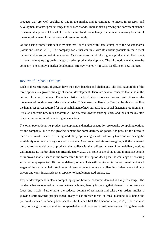products that are well established within the market and it continues to invest in research and development into new product ranges for its own brands. There is also a growing and consistent demand for essential supplies of household products and food that is likely to continue increasing because of the reduced demand for take-away and restaurant foods.

On the basis of these factors, it is evident that Tesco aligns with three strategies of the Ansoff matrix (Grant and Jordan, 2015). The company can either continue with its current products in the current markets and focus on market penetration. Or it can focus on introducing new products into the current markets and employ a growth strategy based on product development. The third option available to the company is to employ a market development strategy whereby it focuses its efforts on new markets.

#### <span id="page-6-0"></span>Review of Probable Options

Each of these strategies of growth have their own benefits and challenges. The least favourable of the three options is a growth strategy of market development. There are several concerns that arise in the current global environment. There is a distinct lack of labour force and several restrictions on the movement of goods across cities and countries. This makes it unlikely for Tesco to be able to mobilise the human resources required for the establishment of new stores. Due to social distancing requirements, it is also uncertain how much footfall will be directed towards existing stores and thus, it makes little financial sense to invest in entering new markets.

The other two options, i.e. product development and market penetration are equally compelling options for the company. Due to the growing demand for home delivery of goods, it is possible for Tesco to increase its market share in existing markets by optimising use of its delivery team and increasing the availability of online delivery slots for customers. As all supermarkets are struggling with the increased demand for home delivery of products, the retailer with the swiftest increase of home delivery options will increase its market share significantly (Barr, 2020). In spite of the obvious and immediate benefit of improved market share in the foreseeable future, this option does pose the challenge of ensuring sufficient employees to fulfil online delivery orders. This will require an increased investment at all stages of the delivery chain, such as employees to collect items and collate into orders, more delivery drivers and vans, increased server capacity to handle increased orders, etc.

Product development is also a compelling option because consumer demand is likely to change. The pandemic has encouraged more people to eat at home, thereby increasing their demand for convenience foods and snacks. Furthermore, the reduced volume of restaurant and take-away orders implies a growing shift towards pre-packaged, ready-to-eat freezer meals or meal planning kits being the preferred means of reducing time spent in the kitchen (del Rio-Chanona et al., 2020). There is also likely to be a growing demand for non-perishable food items since customers are restricting their visits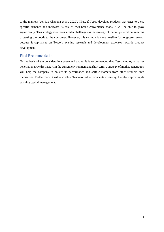to the markets (del Rio-Chanona et al., 2020). Thus, if Tesco develops products that cater to these specific demands and increases its sale of own brand convenience foods, it will be able to grow significantly. This strategy also faces similar challenges as the strategy of market penetration, in terms of getting the goods to the consumer. However, this strategy is more feasible for long-term growth because it capitalises on Tesco's existing research and development expenses towards product development.

#### <span id="page-7-0"></span>Final Recommendation

On the basis of the considerations presented above, it is recommended that Tesco employ a market penetration growth strategy. In the current environment and short term, a strategy of market penetration will help the company to bolster its performance and shift customers from other retailers onto themselves. Furthermore, it will also allow Tesco to further reduce its inventory, thereby improving its working capital management.